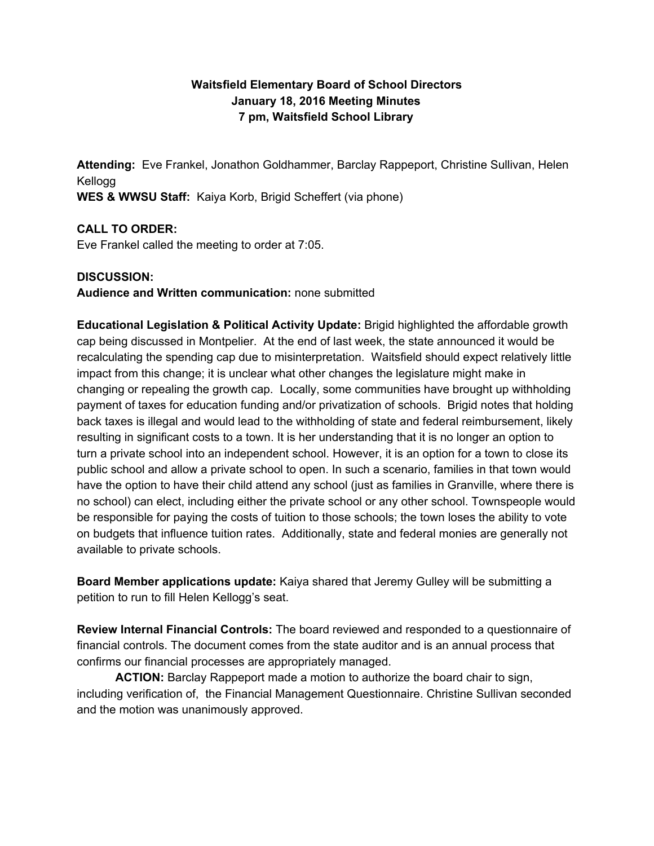# **Waitsfield Elementary Board of School Directors January 18, 2016 Meeting Minutes 7 pm, Waitsfield School Library**

**Attending:** Eve Frankel, Jonathon Goldhammer, Barclay Rappeport, Christine Sullivan, Helen Kellogg **WES & WWSU Staff:** Kaiya Korb, Brigid Scheffert (via phone)

# **CALL TO ORDER:**

Eve Frankel called the meeting to order at 7:05.

### **DISCUSSION:**

**Audience and Written communication:** none submitted

**Educational Legislation & Political Activity Update:**Brigid highlighted the affordable growth cap being discussed in Montpelier. At the end of last week, the state announced it would be recalculating the spending cap due to misinterpretation. Waitsfield should expect relatively little impact from this change; it is unclear what other changes the legislature might make in changing or repealing the growth cap. Locally, some communities have brought up withholding payment of taxes for education funding and/or privatization of schools. Brigid notes that holding back taxes is illegal and would lead to the withholding of state and federal reimbursement, likely resulting in significant costs to a town. It is her understanding that it is no longer an option to turn a private school into an independent school. However, it is an option for a town to close its public school and allow a private school to open. In such a scenario, families in that town would have the option to have their child attend any school (just as families in Granville, where there is no school) can elect, including either the private school or any other school. Townspeople would be responsible for paying the costs of tuition to those schools; the town loses the ability to vote on budgets that influence tuition rates. Additionally, state and federal monies are generally not available to private schools.

**Board Member applications update:** Kaiya shared that Jeremy Gulley will be submitting a petition to run to fill Helen Kellogg's seat.

**Review Internal Financial Controls:** The board reviewed and responded to a questionnaire of financial controls. The document comes from the state auditor and is an annual process that confirms our financial processes are appropriately managed.

**ACTION:**Barclay Rappeport made a motion to authorize the board chair to sign, including verification of, the Financial Management Questionnaire. Christine Sullivan seconded and the motion was unanimously approved.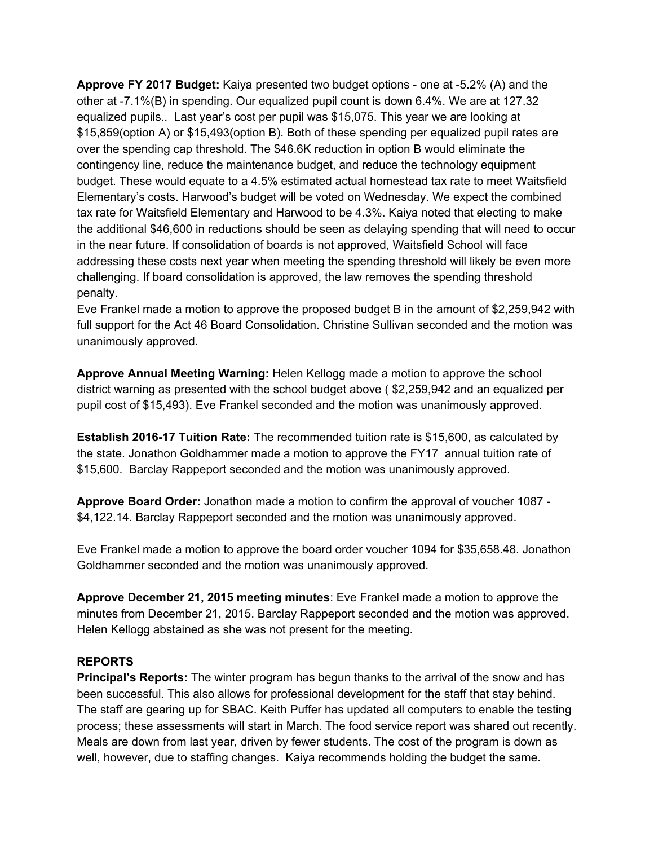**Approve FY 2017 Budget:** Kaiya presented two budget options - one at -5.2% (A) and the other at 7.1%(B) in spending. Our equalized pupil count is down 6.4%. We are at 127.32 equalized pupils.. Last year's cost per pupil was \$15,075. This year we are looking at \$15,859(option A) or \$15,493(option B). Both of these spending per equalized pupil rates are over the spending cap threshold. The \$46.6K reduction in option B would eliminate the contingency line, reduce the maintenance budget, and reduce the technology equipment budget. These would equate to a 4.5% estimated actual homestead tax rate to meet Waitsfield Elementary's costs. Harwood's budget will be voted on Wednesday. We expect the combined tax rate for Waitsfield Elementary and Harwood to be 4.3%. Kaiya noted that electing to make the additional \$46,600 in reductions should be seen as delaying spending that will need to occur in the near future. If consolidation of boards is not approved, Waitsfield School will face addressing these costs next year when meeting the spending threshold will likely be even more challenging. If board consolidation is approved, the law removes the spending threshold penalty.

Eve Frankel made a motion to approve the proposed budget B in the amount of \$2,259,942 with full support for the Act 46 Board Consolidation. Christine Sullivan seconded and the motion was unanimously approved.

**Approve Annual Meeting Warning:**Helen Kellogg made a motion to approve the school district warning as presented with the school budget above ( \$2,259,942 and an equalized per pupil cost of \$15,493). Eve Frankel seconded and the motion was unanimously approved.

**Establish 201617 Tuition Rate:**The recommended tuition rate is \$15,600, as calculated by the state. Jonathon Goldhammer made a motion to approve the FY17 annual tuition rate of \$15,600. Barclay Rappeport seconded and the motion was unanimously approved.

**Approve Board Order:**Jonathon made a motion to confirm the approval of voucher 1087 \$4,122.14. Barclay Rappeport seconded and the motion was unanimously approved.

Eve Frankel made a motion to approve the board order voucher 1094 for \$35,658.48. Jonathon Goldhammer seconded and the motion was unanimously approved.

**Approve December 21, 2015 meeting minutes**: Eve Frankel made a motion to approve the minutes from December 21, 2015. Barclay Rappeport seconded and the motion was approved. Helen Kellogg abstained as she was not present for the meeting.

### **REPORTS**

**Principal's Reports:**The winter program has begun thanks to the arrival of the snow and has been successful. This also allows for professional development for the staff that stay behind. The staff are gearing up for SBAC. Keith Puffer has updated all computers to enable the testing process; these assessments will start in March. The food service report was shared out recently. Meals are down from last year, driven by fewer students. The cost of the program is down as well, however, due to staffing changes. Kaiya recommends holding the budget the same.